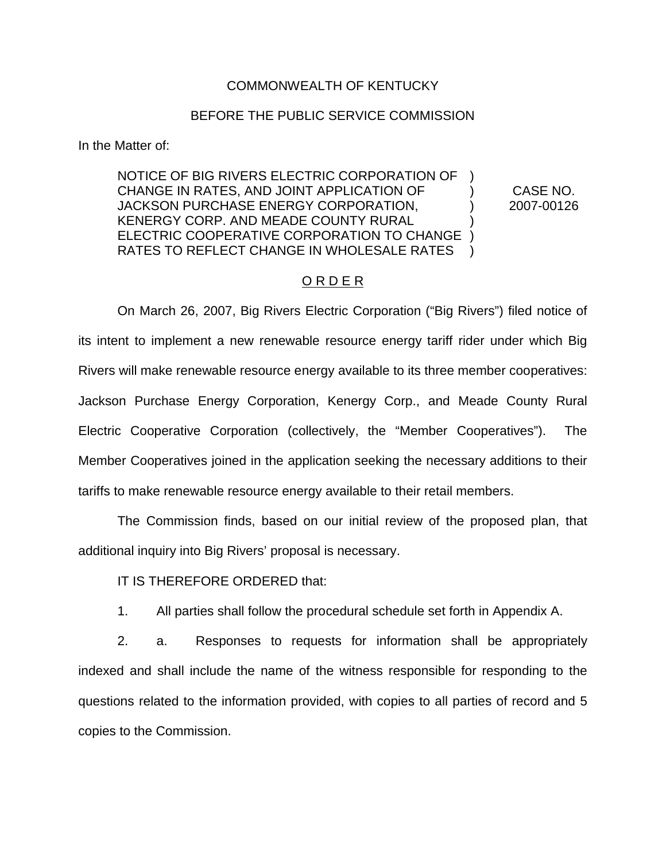### COMMONWEALTH OF KENTUCKY

#### BEFORE THE PUBLIC SERVICE COMMISSION

In the Matter of:

## NOTICE OF BIG RIVERS ELECTRIC CORPORATION OF ) CHANGE IN RATES, AND JOINT APPLICATION OF ) CASE NO. JACKSON PURCHASE ENERGY CORPORATION.  $\qquad \qquad$  2007-00126 KENERGY CORP. AND MEADE COUNTY RURAL ELECTRIC COOPERATIVE CORPORATION TO CHANGE ) RATES TO REFLECT CHANGE IN WHOLESALE RATES

### O R D E R

On March 26, 2007, Big Rivers Electric Corporation ("Big Rivers") filed notice of its intent to implement a new renewable resource energy tariff rider under which Big Rivers will make renewable resource energy available to its three member cooperatives: Jackson Purchase Energy Corporation, Kenergy Corp., and Meade County Rural Electric Cooperative Corporation (collectively, the "Member Cooperatives"). The Member Cooperatives joined in the application seeking the necessary additions to their tariffs to make renewable resource energy available to their retail members.

The Commission finds, based on our initial review of the proposed plan, that additional inquiry into Big Rivers' proposal is necessary.

#### IT IS THEREFORE ORDERED that:

1. All parties shall follow the procedural schedule set forth in Appendix A.

2. a. Responses to requests for information shall be appropriately indexed and shall include the name of the witness responsible for responding to the questions related to the information provided, with copies to all parties of record and 5 copies to the Commission.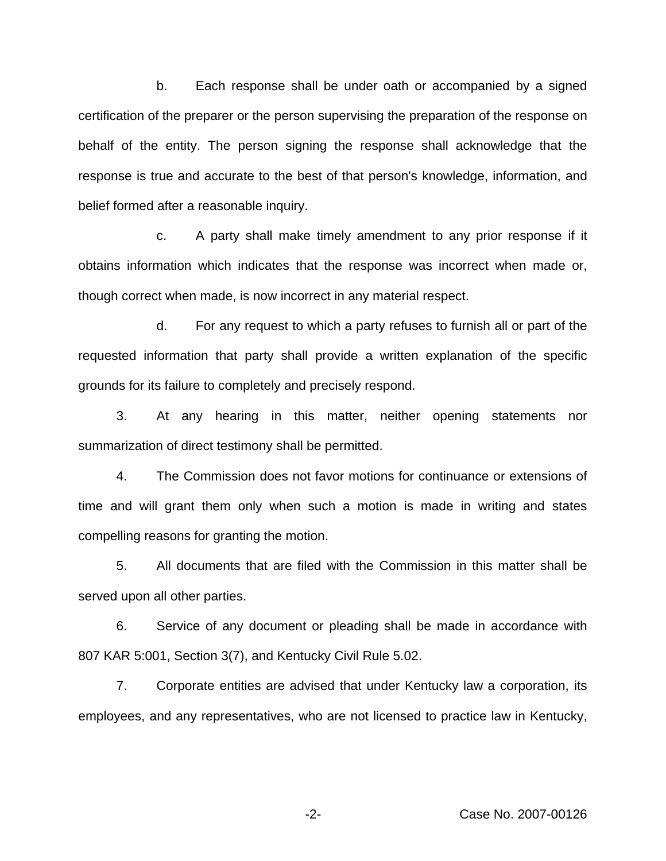b. Each response shall be under oath or accompanied by a signed certification of the preparer or the person supervising the preparation of the response on behalf of the entity. The person signing the response shall acknowledge that the response is true and accurate to the best of that person's knowledge, information, and belief formed after a reasonable inquiry.

c. A party shall make timely amendment to any prior response if it obtains information which indicates that the response was incorrect when made or, though correct when made, is now incorrect in any material respect.

d. For any request to which a party refuses to furnish all or part of the requested information that party shall provide a written explanation of the specific grounds for its failure to completely and precisely respond.

3. At any hearing in this matter, neither opening statements nor summarization of direct testimony shall be permitted.

4. The Commission does not favor motions for continuance or extensions of time and will grant them only when such a motion is made in writing and states compelling reasons for granting the motion.

5. All documents that are filed with the Commission in this matter shall be served upon all other parties.

6. Service of any document or pleading shall be made in accordance with 807 KAR 5:001, Section 3(7), and Kentucky Civil Rule 5.02.

7. Corporate entities are advised that under Kentucky law a corporation, its employees, and any representatives, who are not licensed to practice law in Kentucky,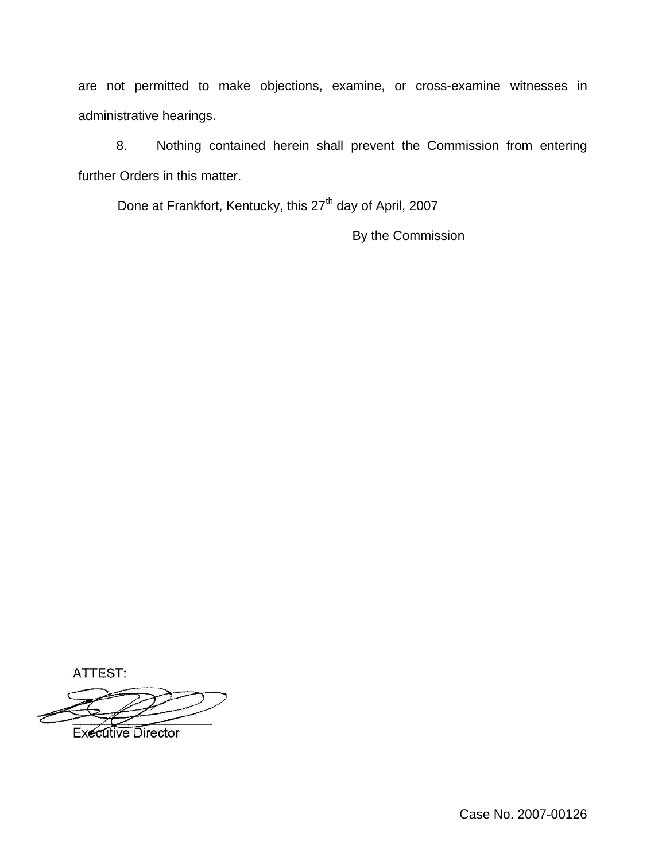are not permitted to make objections, examine, or cross-examine witnesses in administrative hearings.

8. Nothing contained herein shall prevent the Commission from entering further Orders in this matter.

Done at Frankfort, Kentucky, this 27<sup>th</sup> day of April, 2007

By the Commission

ATTEST:

**Executive Director** 

Case No. 2007-00126